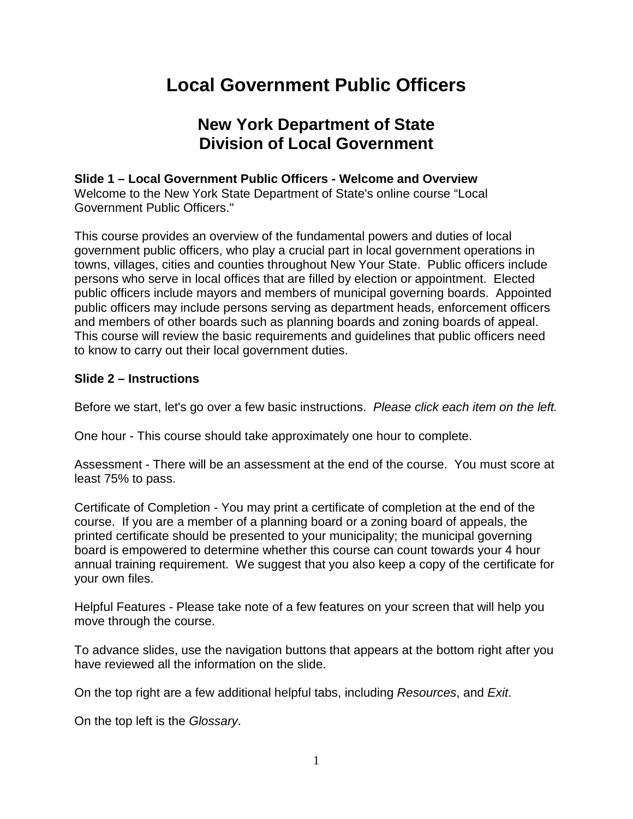# **Local Government Public Officers**

# **New York Department of State Division of Local Government**

# **Slide 1 – Local Government Public Officers - Welcome and Overview**

Welcome to the New York State Department of State's online course "Local Government Public Officers."

This course provides an overview of the fundamental powers and duties of local government public officers, who play a crucial part in local government operations in towns, villages, cities and counties throughout New Your State. Public officers include persons who serve in local offices that are filled by election or appointment. Elected public officers include mayors and members of municipal governing boards. Appointed public officers may include persons serving as department heads, enforcement officers and members of other boards such as planning boards and zoning boards of appeal. This course will review the basic requirements and guidelines that public officers need to know to carry out their local government duties.

### **Slide 2 – Instructions**

Before we start, let's go over a few basic instructions. *Please click each item on the left.*

One hour - This course should take approximately one hour to complete.

Assessment - There will be an assessment at the end of the course. You must score at least 75% to pass.

Certificate of Completion - You may print a certificate of completion at the end of the course. If you are a member of a planning board or a zoning board of appeals, the printed certificate should be presented to your municipality; the municipal governing board is empowered to determine whether this course can count towards your 4 hour annual training requirement. We suggest that you also keep a copy of the certificate for your own files.

Helpful Features - Please take note of a few features on your screen that will help you move through the course.

To advance slides, use the navigation buttons that appears at the bottom right after you have reviewed all the information on the slide.

On the top right are a few additional helpful tabs, including *Resources*, and *Exit*.

On the top left is the *Glossary*.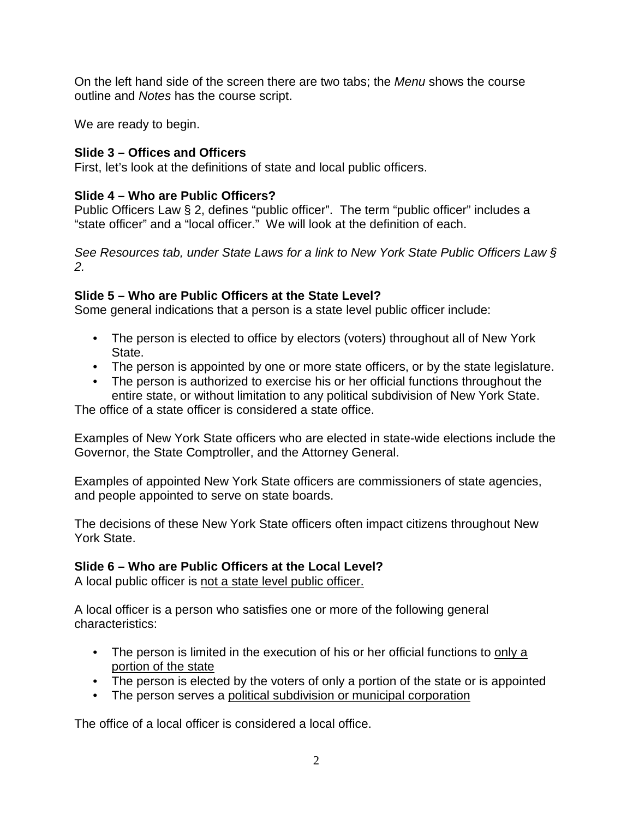On the left hand side of the screen there are two tabs; the *Menu* shows the course outline and *Notes* has the course script.

We are ready to begin.

# **Slide 3 – Offices and Officers**

First, let's look at the definitions of state and local public officers.

# **Slide 4 – Who are Public Officers?**

Public Officers Law § 2, defines "public officer". The term "public officer" includes a "state officer" and a "local officer." We will look at the definition of each.

*See Resources tab, under State Laws for a link to New York State Public Officers Law § 2.* 

# **Slide 5 – Who are Public Officers at the State Level?**

Some general indications that a person is a state level public officer include:

- The person is elected to office by electors (voters) throughout all of New York State.
- The person is appointed by one or more state officers, or by the state legislature.
- The person is authorized to exercise his or her official functions throughout the entire state, or without limitation to any political subdivision of New York State.

The office of a state officer is considered a state office.

Examples of New York State officers who are elected in state-wide elections include the Governor, the State Comptroller, and the Attorney General.

Examples of appointed New York State officers are commissioners of state agencies, and people appointed to serve on state boards.

The decisions of these New York State officers often impact citizens throughout New York State.

# **Slide 6 – Who are Public Officers at the Local Level?**

A local public officer is not a state level public officer.

A local officer is a person who satisfies one or more of the following general characteristics:

- The person is limited in the execution of his or her official functions to only a portion of the state
- The person is elected by the voters of only a portion of the state or is appointed
- The person serves a political subdivision or municipal corporation

The office of a local officer is considered a local office.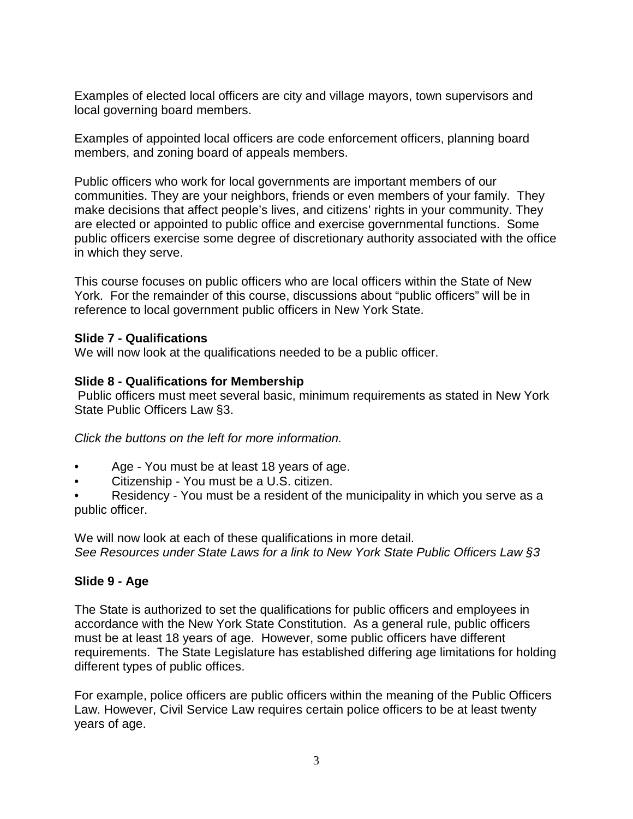Examples of elected local officers are city and village mayors, town supervisors and local governing board members.

Examples of appointed local officers are code enforcement officers, planning board members, and zoning board of appeals members.

Public officers who work for local governments are important members of our communities. They are your neighbors, friends or even members of your family. They make decisions that affect people's lives, and citizens' rights in your community. They are elected or appointed to public office and exercise governmental functions. Some public officers exercise some degree of discretionary authority associated with the office in which they serve.

This course focuses on public officers who are local officers within the State of New York. For the remainder of this course, discussions about "public officers" will be in reference to local government public officers in New York State.

### **Slide 7 - Qualifications**

We will now look at the qualifications needed to be a public officer.

### **Slide 8 - Qualifications for Membership**

Public officers must meet several basic, minimum requirements as stated in New York State Public Officers Law §3.

*Click the buttons on the left for more information.*

- Age You must be at least 18 years of age.
- Citizenship You must be a U.S. citizen.
- Residency You must be a resident of the municipality in which you serve as a public officer.

We will now look at each of these qualifications in more detail. *See Resources under State Laws for a link to New York State Public Officers Law §3*

### **Slide 9 - Age**

The State is authorized to set the qualifications for public officers and employees in accordance with the New York State Constitution. As a general rule, public officers must be at least 18 years of age. However, some public officers have different requirements. The State Legislature has established differing age limitations for holding different types of public offices.

For example, police officers are public officers within the meaning of the Public Officers Law. However, Civil Service Law requires certain police officers to be at least twenty years of age.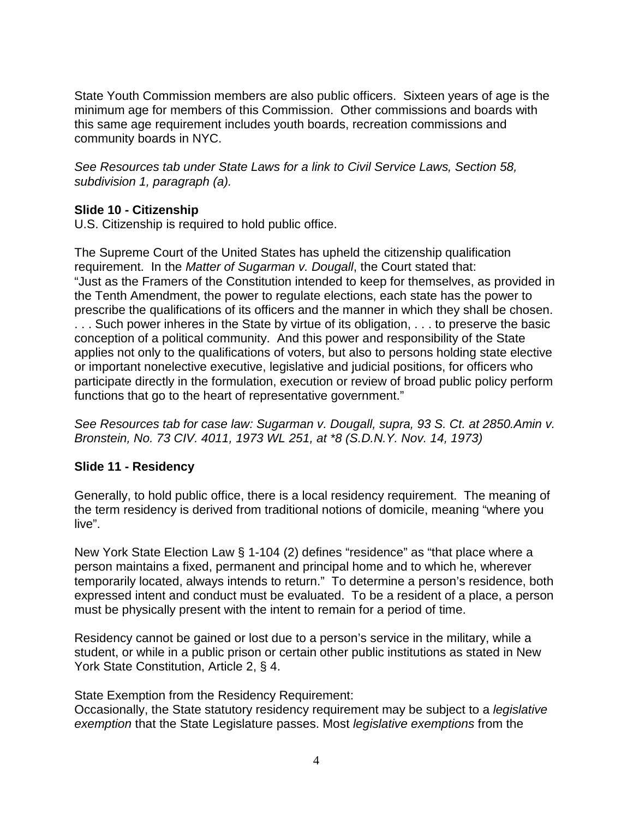State Youth Commission members are also public officers. Sixteen years of age is the minimum age for members of this Commission. Other commissions and boards with this same age requirement includes youth boards, recreation commissions and community boards in NYC.

*See Resources tab under State Laws for a link to Civil Service Laws, Section 58, subdivision 1, paragraph (a).* 

# **Slide 10 - Citizenship**

U.S. Citizenship is required to hold public office.

The Supreme Court of the United States has upheld the citizenship qualification requirement. In the *Matter of Sugarman v. Dougall*, the Court stated that: "Just as the Framers of the Constitution intended to keep for themselves, as provided in the Tenth Amendment, the power to regulate elections, each state has the power to prescribe the qualifications of its officers and the manner in which they shall be chosen. ... Such power inheres in the State by virtue of its obligation, ... to preserve the basic conception of a political community. And this power and responsibility of the State applies not only to the qualifications of voters, but also to persons holding state elective or important nonelective executive, legislative and judicial positions, for officers who participate directly in the formulation, execution or review of broad public policy perform functions that go to the heart of representative government."

*See Resources tab for case law: Sugarman v. Dougall, supra, 93 S. Ct. at 2850.Amin v. Bronstein, No. 73 CIV. 4011, 1973 WL 251, at \*8 (S.D.N.Y. Nov. 14, 1973)*

# **Slide 11 - Residency**

Generally, to hold public office, there is a local residency requirement. The meaning of the term residency is derived from traditional notions of domicile, meaning "where you live".

New York State Election Law § 1-104 (2) defines "residence" as "that place where a person maintains a fixed, permanent and principal home and to which he, wherever temporarily located, always intends to return." To determine a person's residence, both expressed intent and conduct must be evaluated. To be a resident of a place, a person must be physically present with the intent to remain for a period of time.

Residency cannot be gained or lost due to a person's service in the military, while a student, or while in a public prison or certain other public institutions as stated in New York State Constitution, Article 2, § 4.

State Exemption from the Residency Requirement:

Occasionally, the State statutory residency requirement may be subject to a *legislative exemption* that the State Legislature passes. Most *legislative exemptions* from the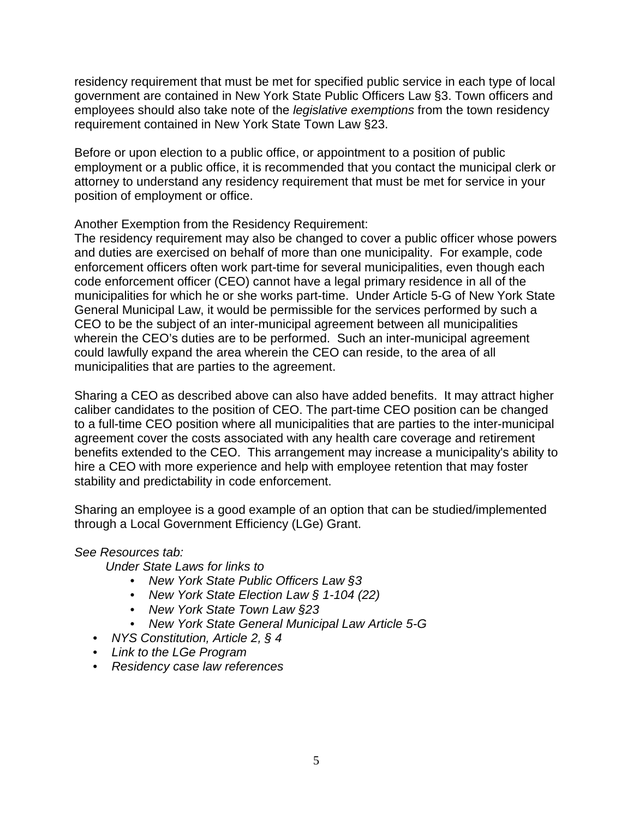residency requirement that must be met for specified public service in each type of local government are contained in New York State Public Officers Law §3. Town officers and employees should also take note of the *legislative exemptions* from the town residency requirement contained in New York State Town Law §23.

Before or upon election to a public office, or appointment to a position of public employment or a public office, it is recommended that you contact the municipal clerk or attorney to understand any residency requirement that must be met for service in your position of employment or office.

### Another Exemption from the Residency Requirement:

The residency requirement may also be changed to cover a public officer whose powers and duties are exercised on behalf of more than one municipality. For example, code enforcement officers often work part-time for several municipalities, even though each code enforcement officer (CEO) cannot have a legal primary residence in all of the municipalities for which he or she works part-time. Under Article 5-G of New York State General Municipal Law, it would be permissible for the services performed by such a CEO to be the subject of an inter-municipal agreement between all municipalities wherein the CEO's duties are to be performed. Such an inter-municipal agreement could lawfully expand the area wherein the CEO can reside, to the area of all municipalities that are parties to the agreement.

Sharing a CEO as described above can also have added benefits. It may attract higher caliber candidates to the position of CEO. The part-time CEO position can be changed to a full-time CEO position where all municipalities that are parties to the inter-municipal agreement cover the costs associated with any health care coverage and retirement benefits extended to the CEO. This arrangement may increase a municipality's ability to hire a CEO with more experience and help with employee retention that may foster stability and predictability in code enforcement.

Sharing an employee is a good example of an option that can be studied/implemented through a Local Government Efficiency (LGe) Grant.

### *See Resources tab:*

 *Under State Laws for links to*

- *New York State Public Officers Law §3*
- *New York State Election Law § 1-104 (22)*
- *New York State Town Law §23*
- *New York State General Municipal Law Article 5-G*
- *NYS Constitution, Article 2, § 4*
- *Link to the LGe Program*
- *Residency case law references*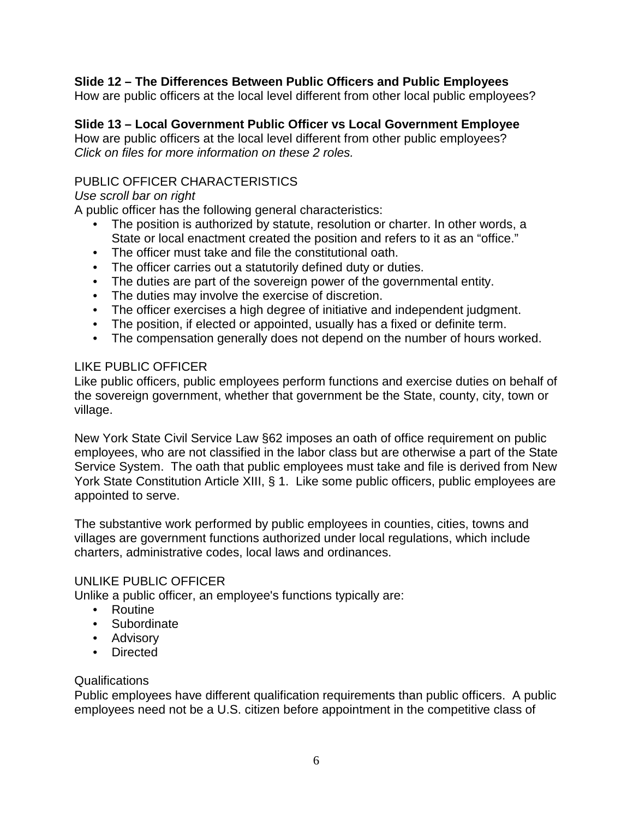### **Slide 12 – The Differences Between Public Officers and Public Employees**

How are public officers at the local level different from other local public employees?

#### **Slide 13 – Local Government Public Officer vs Local Government Employee**

How are public officers at the local level different from other public employees? *Click on files for more information on these 2 roles.*

### PUBLIC OFFICER CHARACTERISTICS

#### *Use scroll bar on right*

A public officer has the following general characteristics:

- The position is authorized by statute, resolution or charter. In other words, a State or local enactment created the position and refers to it as an "office."
- The officer must take and file the constitutional oath.
- The officer carries out a statutorily defined duty or duties.
- The duties are part of the sovereign power of the governmental entity.
- The duties may involve the exercise of discretion.
- The officer exercises a high degree of initiative and independent judgment.
- The position, if elected or appointed, usually has a fixed or definite term.
- The compensation generally does not depend on the number of hours worked.

### LIKE PUBLIC OFFICER

Like public officers, public employees perform functions and exercise duties on behalf of the sovereign government, whether that government be the State, county, city, town or village.

New York State Civil Service Law §62 imposes an oath of office requirement on public employees, who are not classified in the labor class but are otherwise a part of the State Service System. The oath that public employees must take and file is derived from New York State Constitution Article XIII, § 1. Like some public officers, public employees are appointed to serve.

The substantive work performed by public employees in counties, cities, towns and villages are government functions authorized under local regulations, which include charters, administrative codes, local laws and ordinances.

### UNLIKE PUBLIC OFFICER

Unlike a public officer, an employee's functions typically are:

- Routine
- Subordinate
- Advisory
- Directed

### Qualifications

Public employees have different qualification requirements than public officers. A public employees need not be a U.S. citizen before appointment in the competitive class of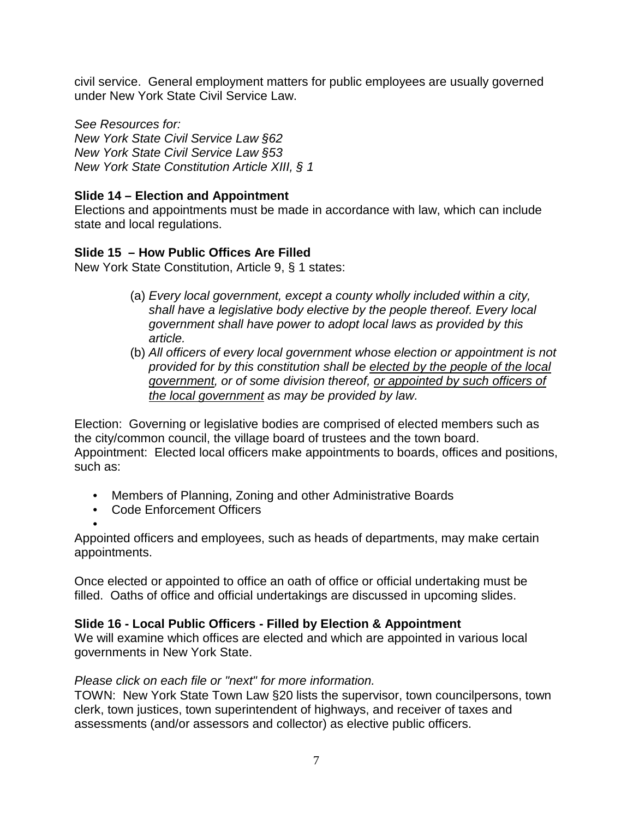civil service. General employment matters for public employees are usually governed under New York State Civil Service Law.

*See Resources for: New York State Civil Service Law §62 New York State Civil Service Law §53 New York State Constitution Article XIII, § 1*

# **Slide 14 – Election and Appointment**

Elections and appointments must be made in accordance with law, which can include state and local regulations.

### **Slide 15 – How Public Offices Are Filled**

New York State Constitution, Article 9, § 1 states:

- (a) *Every local government, except a county wholly included within a city, shall have a legislative body elective by the people thereof. Every local government shall have power to adopt local laws as provided by this article.*
- (b) *All officers of every local government whose election or appointment is not provided for by this constitution shall be elected by the people of the local government, or of some division thereof, or appointed by such officers of the local government as may be provided by law.*

Election: Governing or legislative bodies are comprised of elected members such as the city/common council, the village board of trustees and the town board. Appointment: Elected local officers make appointments to boards, offices and positions, such as:

- Members of Planning, Zoning and other Administrative Boards
- Code Enforcement Officers

• Appointed officers and employees, such as heads of departments, may make certain appointments.

Once elected or appointed to office an oath of office or official undertaking must be filled. Oaths of office and official undertakings are discussed in upcoming slides.

### **Slide 16 - Local Public Officers - Filled by Election & Appointment**

We will examine which offices are elected and which are appointed in various local governments in New York State.

### *Please click on each file or "next" for more information.*

TOWN: New York State Town Law §20 lists the supervisor, town councilpersons, town clerk, town justices, town superintendent of highways, and receiver of taxes and assessments (and/or assessors and collector) as elective public officers.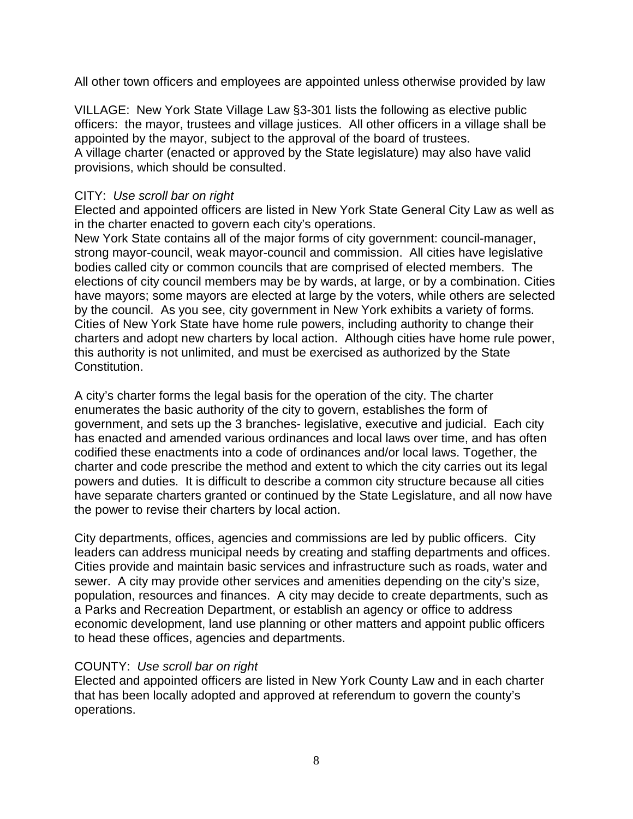All other town officers and employees are appointed unless otherwise provided by law

VILLAGE: New York State Village Law §3-301 lists the following as elective public officers: the mayor, trustees and village justices. All other officers in a village shall be appointed by the mayor, subject to the approval of the board of trustees. A village charter (enacted or approved by the State legislature) may also have valid provisions, which should be consulted.

### CITY: *Use scroll bar on right*

Elected and appointed officers are listed in New York State General City Law as well as in the charter enacted to govern each city's operations.

New York State contains all of the major forms of city government: council-manager, strong mayor-council, weak mayor-council and commission. All cities have legislative bodies called city or common councils that are comprised of elected members. The elections of city council members may be by wards, at large, or by a combination. Cities have mayors; some mayors are elected at large by the voters, while others are selected by the council. As you see, city government in New York exhibits a variety of forms. Cities of New York State have home rule powers, including authority to change their charters and adopt new charters by local action. Although cities have home rule power, this authority is not unlimited, and must be exercised as authorized by the State Constitution.

A city's charter forms the legal basis for the operation of the city. The charter enumerates the basic authority of the city to govern, establishes the form of government, and sets up the 3 branches- legislative, executive and judicial. Each city has enacted and amended various ordinances and local laws over time, and has often codified these enactments into a code of ordinances and/or local laws. Together, the charter and code prescribe the method and extent to which the city carries out its legal powers and duties. It is difficult to describe a common city structure because all cities have separate charters granted or continued by the State Legislature, and all now have the power to revise their charters by local action.

City departments, offices, agencies and commissions are led by public officers. City leaders can address municipal needs by creating and staffing departments and offices. Cities provide and maintain basic services and infrastructure such as roads, water and sewer. A city may provide other services and amenities depending on the city's size, population, resources and finances. A city may decide to create departments, such as a Parks and Recreation Department, or establish an agency or office to address economic development, land use planning or other matters and appoint public officers to head these offices, agencies and departments.

### COUNTY: *Use scroll bar on right*

Elected and appointed officers are listed in New York County Law and in each charter that has been locally adopted and approved at referendum to govern the county's operations.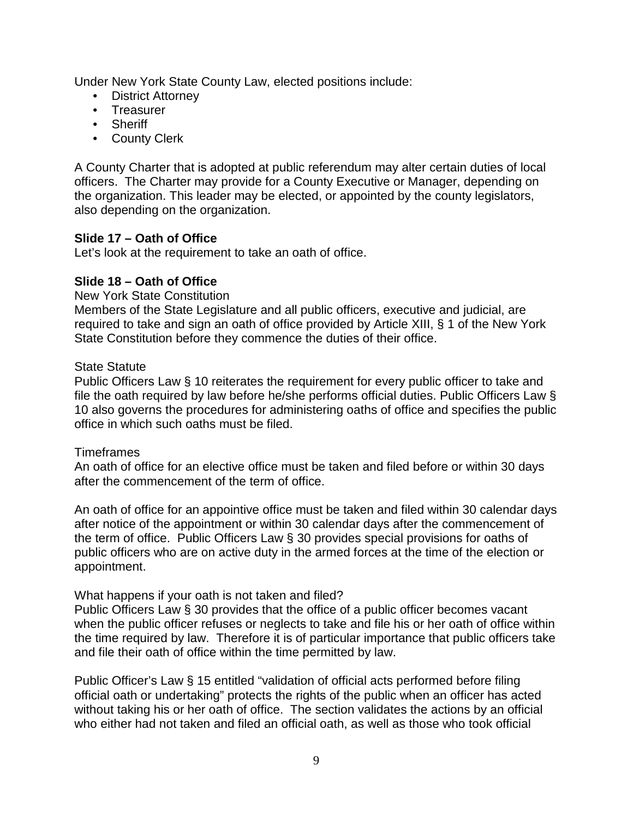Under New York State County Law, elected positions include:

- **District Attorney**
- Treasurer
- Sheriff
- County Clerk

A County Charter that is adopted at public referendum may alter certain duties of local officers. The Charter may provide for a County Executive or Manager, depending on the organization. This leader may be elected, or appointed by the county legislators, also depending on the organization.

### **Slide 17 – Oath of Office**

Let's look at the requirement to take an oath of office.

### **Slide 18 – Oath of Office**

New York State Constitution

Members of the State Legislature and all public officers, executive and judicial, are required to take and sign an oath of office provided by Article XIII, § 1 of the New York State Constitution before they commence the duties of their office.

#### State Statute

Public Officers Law § 10 reiterates the requirement for every public officer to take and file the oath required by law before he/she performs official duties. Public Officers Law § 10 also governs the procedures for administering oaths of office and specifies the public office in which such oaths must be filed.

### **Timeframes**

An oath of office for an elective office must be taken and filed before or within 30 days after the commencement of the term of office.

An oath of office for an appointive office must be taken and filed within 30 calendar days after notice of the appointment or within 30 calendar days after the commencement of the term of office. Public Officers Law § 30 provides special provisions for oaths of public officers who are on active duty in the armed forces at the time of the election or appointment.

### What happens if your oath is not taken and filed?

Public Officers Law § 30 provides that the office of a public officer becomes vacant when the public officer refuses or neglects to take and file his or her oath of office within the time required by law. Therefore it is of particular importance that public officers take and file their oath of office within the time permitted by law.

Public Officer's Law § 15 entitled "validation of official acts performed before filing official oath or undertaking" protects the rights of the public when an officer has acted without taking his or her oath of office. The section validates the actions by an official who either had not taken and filed an official oath, as well as those who took official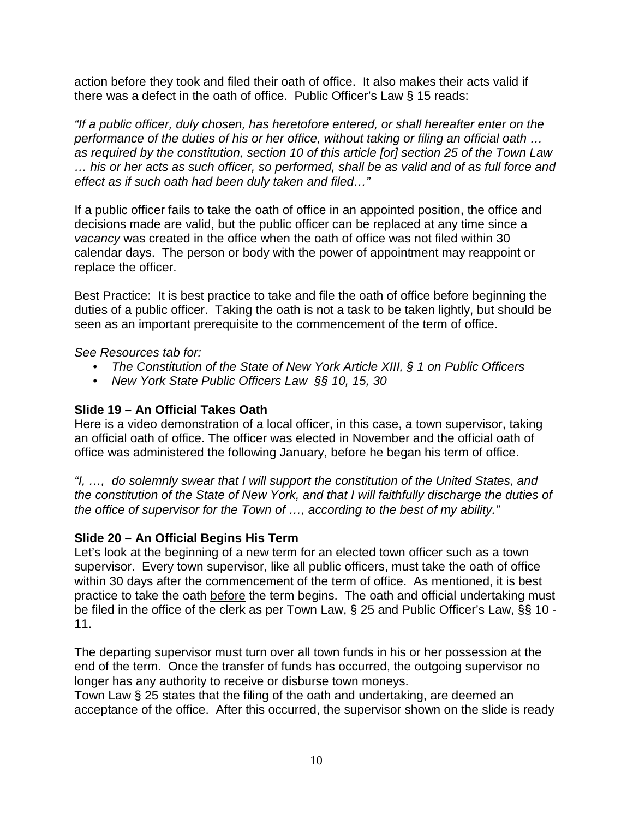action before they took and filed their oath of office. It also makes their acts valid if there was a defect in the oath of office. Public Officer's Law § 15 reads:

*"If a public officer, duly chosen, has heretofore entered, or shall hereafter enter on the performance of the duties of his or her office, without taking or filing an official oath … as required by the constitution, section 10 of this article [or] section 25 of the Town Law … his or her acts as such officer, so performed, shall be as valid and of as full force and effect as if such oath had been duly taken and filed…"* 

If a public officer fails to take the oath of office in an appointed position, the office and decisions made are valid, but the public officer can be replaced at any time since a *vacancy* was created in the office when the oath of office was not filed within 30 calendar days. The person or body with the power of appointment may reappoint or replace the officer.

Best Practice: It is best practice to take and file the oath of office before beginning the duties of a public officer. Taking the oath is not a task to be taken lightly, but should be seen as an important prerequisite to the commencement of the term of office.

*See Resources tab for:* 

- *The Constitution of the State of New York Article XIII, § 1 on Public Officers*
- *New York State Public Officers Law §§ 10, 15, 30*

# **Slide 19 – An Official Takes Oath**

Here is a video demonstration of a local officer, in this case, a town supervisor, taking an official oath of office. The officer was elected in November and the official oath of office was administered the following January, before he began his term of office.

*"I, …, do solemnly swear that I will support the constitution of the United States, and the constitution of the State of New York, and that I will faithfully discharge the duties of the office of supervisor for the Town of …, according to the best of my ability."*

# **Slide 20 – An Official Begins His Term**

Let's look at the beginning of a new term for an elected town officer such as a town supervisor. Every town supervisor, like all public officers, must take the oath of office within 30 days after the commencement of the term of office. As mentioned, it is best practice to take the oath before the term begins. The oath and official undertaking must be filed in the office of the clerk as per Town Law, § 25 and Public Officer's Law, §§ 10 - 11.

The departing supervisor must turn over all town funds in his or her possession at the end of the term. Once the transfer of funds has occurred, the outgoing supervisor no longer has any authority to receive or disburse town moneys.

Town Law § 25 states that the filing of the oath and undertaking, are deemed an acceptance of the office. After this occurred, the supervisor shown on the slide is ready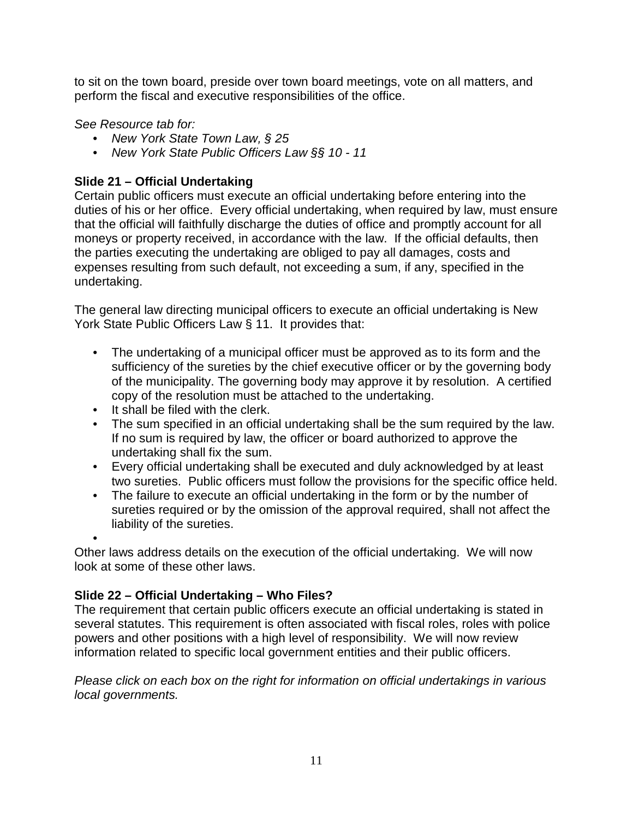to sit on the town board, preside over town board meetings, vote on all matters, and perform the fiscal and executive responsibilities of the office.

*See Resource tab for:*

- *New York State Town Law, § 25*
- *New York State Public Officers Law §§ 10 - 11*

### **Slide 21 – Official Undertaking**

Certain public officers must execute an official undertaking before entering into the duties of his or her office. Every official undertaking, when required by law, must ensure that the official will faithfully discharge the duties of office and promptly account for all moneys or property received, in accordance with the law. If the official defaults, then the parties executing the undertaking are obliged to pay all damages, costs and expenses resulting from such default, not exceeding a sum, if any, specified in the undertaking.

The general law directing municipal officers to execute an official undertaking is New York State Public Officers Law § 11. It provides that:

- The undertaking of a municipal officer must be approved as to its form and the sufficiency of the sureties by the chief executive officer or by the governing body of the municipality. The governing body may approve it by resolution. A certified copy of the resolution must be attached to the undertaking.
- It shall be filed with the clerk.
- The sum specified in an official undertaking shall be the sum required by the law. If no sum is required by law, the officer or board authorized to approve the undertaking shall fix the sum.
- Every official undertaking shall be executed and duly acknowledged by at least two sureties. Public officers must follow the provisions for the specific office held.
- The failure to execute an official undertaking in the form or by the number of sureties required or by the omission of the approval required, shall not affect the liability of the sureties.

•

Other laws address details on the execution of the official undertaking. We will now look at some of these other laws.

# **Slide 22 – Official Undertaking – Who Files?**

The requirement that certain public officers execute an official undertaking is stated in several statutes. This requirement is often associated with fiscal roles, roles with police powers and other positions with a high level of responsibility. We will now review information related to specific local government entities and their public officers.

*Please click on each box on the right for information on official undertakings in various local governments.*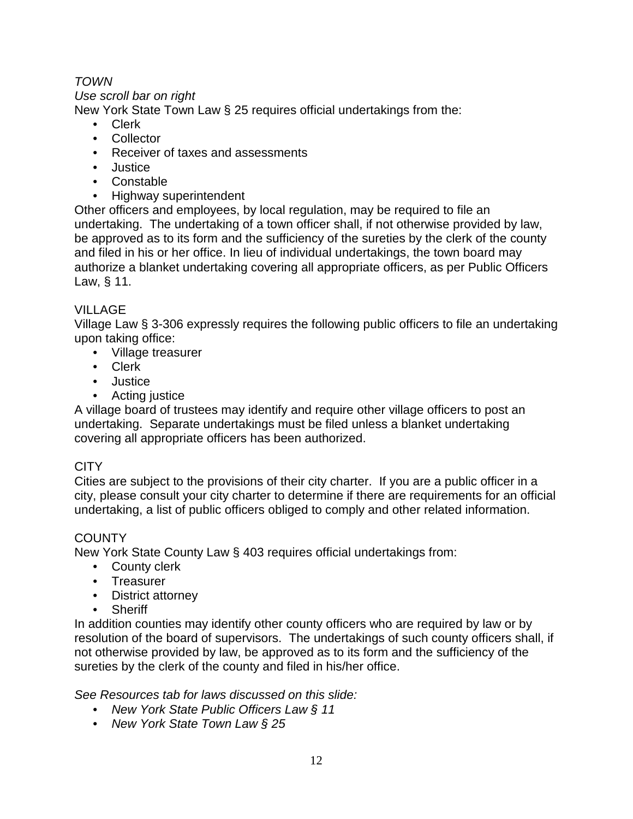# *TOWN*

#### *Use scroll bar on right*

New York State Town Law § 25 requires official undertakings from the:

- Clerk
- Collector
- Receiver of taxes and assessments
- Justice
- Constable
- Highway superintendent

Other officers and employees, by local regulation, may be required to file an undertaking. The undertaking of a town officer shall, if not otherwise provided by law, be approved as to its form and the sufficiency of the sureties by the clerk of the county and filed in his or her office. In lieu of individual undertakings, the town board may authorize a blanket undertaking covering all appropriate officers, as per Public Officers Law, § 11.

### VILLAGE

Village Law § 3-306 expressly requires the following public officers to file an undertaking upon taking office:

- Village treasurer
- Clerk
- Justice
- Acting justice

A village board of trustees may identify and require other village officers to post an undertaking. Separate undertakings must be filed unless a blanket undertaking covering all appropriate officers has been authorized.

### **CITY**

Cities are subject to the provisions of their city charter. If you are a public officer in a city, please consult your city charter to determine if there are requirements for an official undertaking, a list of public officers obliged to comply and other related information.

# **COUNTY**

New York State County Law § 403 requires official undertakings from:

- County clerk
- Treasurer
- District attorney
- Sheriff

In addition counties may identify other county officers who are required by law or by resolution of the board of supervisors. The undertakings of such county officers shall, if not otherwise provided by law, be approved as to its form and the sufficiency of the sureties by the clerk of the county and filed in his/her office.

*See Resources tab for laws discussed on this slide:*

- *New York State Public Officers Law § 11*
- *New York State Town Law § 25*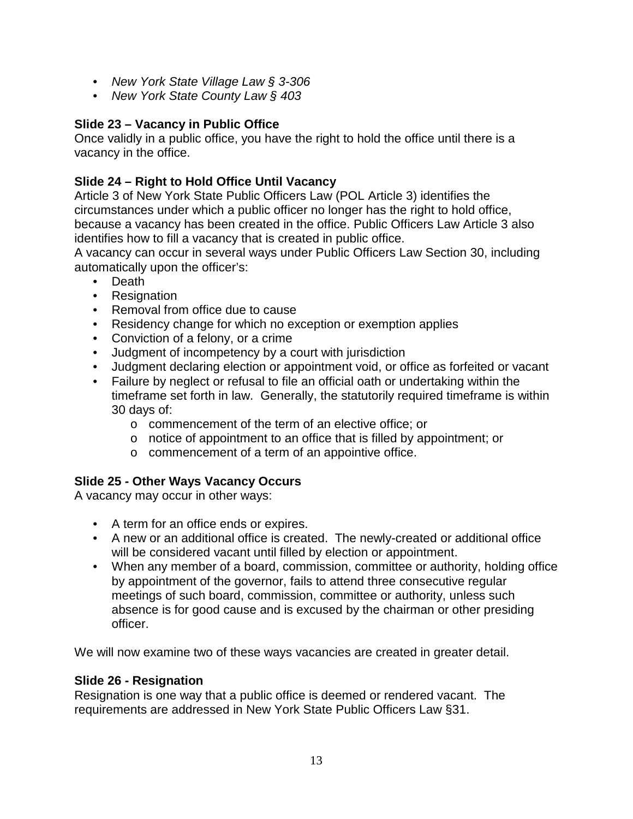- *New York State Village Law § 3-306*
- *New York State County Law § 403*

# **Slide 23 – Vacancy in Public Office**

Once validly in a public office, you have the right to hold the office until there is a vacancy in the office.

# **Slide 24 – Right to Hold Office Until Vacancy**

Article 3 of New York State Public Officers Law (POL Article 3) identifies the circumstances under which a public officer no longer has the right to hold office, because a vacancy has been created in the office. Public Officers Law Article 3 also identifies how to fill a vacancy that is created in public office.

A vacancy can occur in several ways under Public Officers Law Section 30, including automatically upon the officer's:

- Death
- Resignation
- Removal from office due to cause
- Residency change for which no exception or exemption applies
- Conviction of a felony, or a crime
- Judgment of incompetency by a court with jurisdiction
- Judgment declaring election or appointment void, or office as forfeited or vacant
- Failure by neglect or refusal to file an official oath or undertaking within the timeframe set forth in law. Generally, the statutorily required timeframe is within 30 days of:
	- o commencement of the term of an elective office; or
	- o notice of appointment to an office that is filled by appointment; or
	- o commencement of a term of an appointive office.

# **Slide 25 - Other Ways Vacancy Occurs**

A vacancy may occur in other ways:

- A term for an office ends or expires.
- A new or an additional office is created. The newly-created or additional office will be considered vacant until filled by election or appointment.
- When any member of a board, commission, committee or authority, holding office by appointment of the governor, fails to attend three consecutive regular meetings of such board, commission, committee or authority, unless such absence is for good cause and is excused by the chairman or other presiding officer.

We will now examine two of these ways vacancies are created in greater detail.

# **Slide 26 - Resignation**

Resignation is one way that a public office is deemed or rendered vacant. The requirements are addressed in New York State Public Officers Law §31.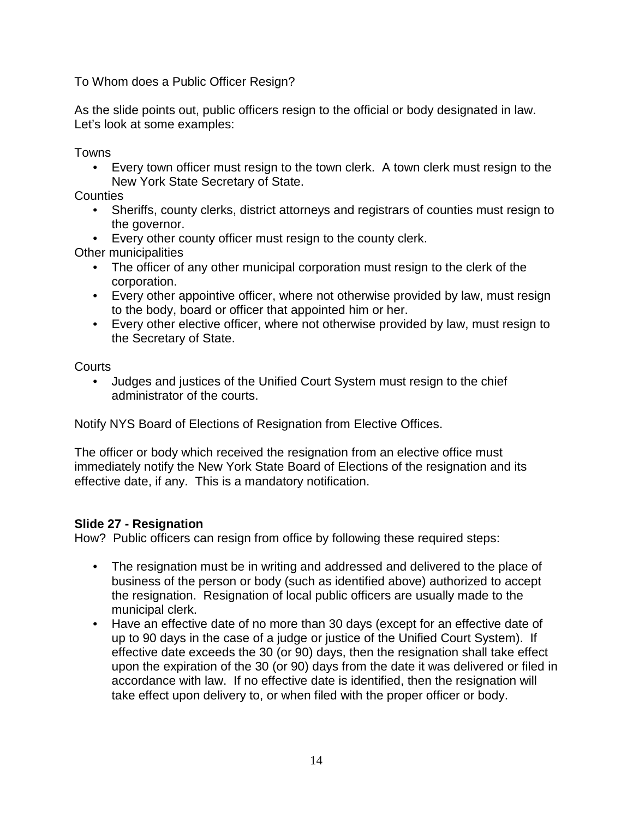To Whom does a Public Officer Resign?

As the slide points out, public officers resign to the official or body designated in law. Let's look at some examples:

Towns

• Every town officer must resign to the town clerk. A town clerk must resign to the New York State Secretary of State.

Counties

- Sheriffs, county clerks, district attorneys and registrars of counties must resign to the governor.
- Every other county officer must resign to the county clerk.

Other municipalities

- The officer of any other municipal corporation must resign to the clerk of the corporation.
- Every other appointive officer, where not otherwise provided by law, must resign to the body, board or officer that appointed him or her.
- Every other elective officer, where not otherwise provided by law, must resign to the Secretary of State.

**Courts** 

• Judges and justices of the Unified Court System must resign to the chief administrator of the courts.

Notify NYS Board of Elections of Resignation from Elective Offices.

The officer or body which received the resignation from an elective office must immediately notify the New York State Board of Elections of the resignation and its effective date, if any. This is a mandatory notification.

# **Slide 27 - Resignation**

How? Public officers can resign from office by following these required steps:

- The resignation must be in writing and addressed and delivered to the place of business of the person or body (such as identified above) authorized to accept the resignation. Resignation of local public officers are usually made to the municipal clerk.
- Have an effective date of no more than 30 days (except for an effective date of up to 90 days in the case of a judge or justice of the Unified Court System). If effective date exceeds the 30 (or 90) days, then the resignation shall take effect upon the expiration of the 30 (or 90) days from the date it was delivered or filed in accordance with law. If no effective date is identified, then the resignation will take effect upon delivery to, or when filed with the proper officer or body.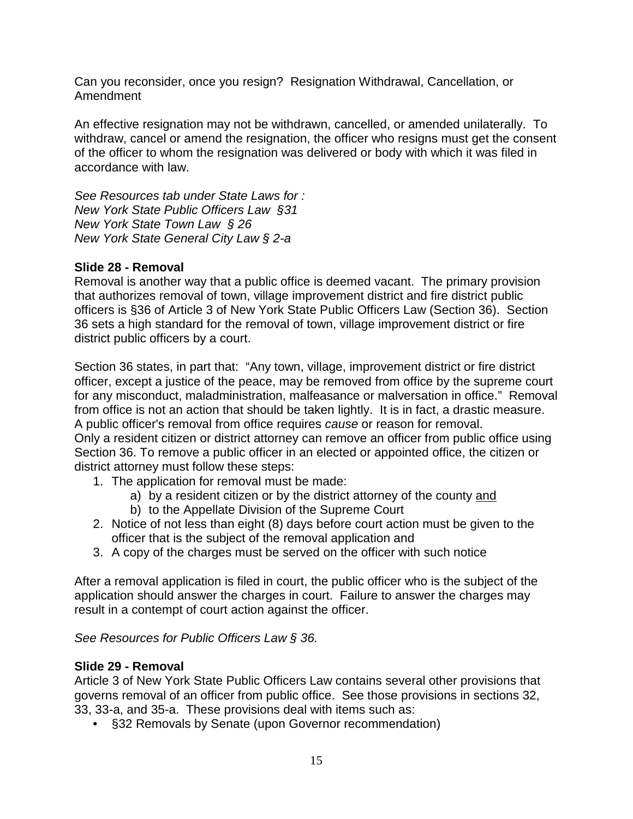Can you reconsider, once you resign? Resignation Withdrawal, Cancellation, or Amendment

An effective resignation may not be withdrawn, cancelled, or amended unilaterally. To withdraw, cancel or amend the resignation, the officer who resigns must get the consent of the officer to whom the resignation was delivered or body with which it was filed in accordance with law.

*See Resources tab under State Laws for : New York State Public Officers Law §31 New York State Town Law § 26 New York State General City Law § 2-a* 

### **Slide 28 - Removal**

Removal is another way that a public office is deemed vacant. The primary provision that authorizes removal of town, village improvement district and fire district public officers is §36 of Article 3 of New York State Public Officers Law (Section 36). Section 36 sets a high standard for the removal of town, village improvement district or fire district public officers by a court.

Section 36 states, in part that: "Any town, village, improvement district or fire district officer, except a justice of the peace, may be removed from office by the supreme court for any misconduct, maladministration, malfeasance or malversation in office." Removal from office is not an action that should be taken lightly. It is in fact, a drastic measure. A public officer's removal from office requires *cause* or reason for removal. Only a resident citizen or district attorney can remove an officer from public office using Section 36. To remove a public officer in an elected or appointed office, the citizen or district attorney must follow these steps:

- 1. The application for removal must be made:
	- a) by a resident citizen or by the district attorney of the county and
	- b) to the Appellate Division of the Supreme Court
- 2. Notice of not less than eight (8) days before court action must be given to the officer that is the subject of the removal application and
- 3. A copy of the charges must be served on the officer with such notice

After a removal application is filed in court, the public officer who is the subject of the application should answer the charges in court. Failure to answer the charges may result in a contempt of court action against the officer.

*See Resources for Public Officers Law § 36.*

### **Slide 29 - Removal**

Article 3 of New York State Public Officers Law contains several other provisions that governs removal of an officer from public office. See those provisions in sections 32, 33, 33-a, and 35-a. These provisions deal with items such as:

• §32 Removals by Senate (upon Governor recommendation)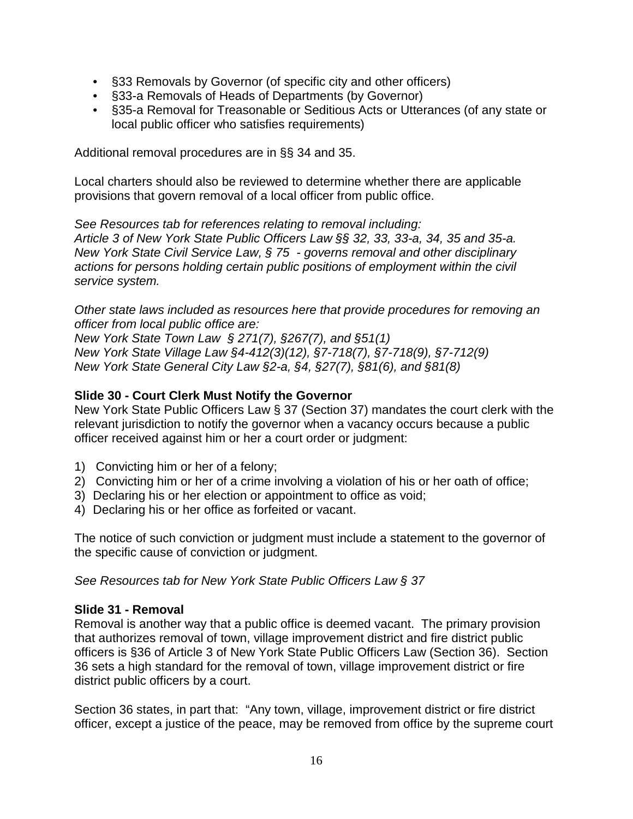- §33 Removals by Governor (of specific city and other officers)
- §33-a Removals of Heads of Departments (by Governor)
- §35-a Removal for Treasonable or Seditious Acts or Utterances (of any state or local public officer who satisfies requirements)

Additional removal procedures are in §§ 34 and 35.

Local charters should also be reviewed to determine whether there are applicable provisions that govern removal of a local officer from public office.

*See Resources tab for references relating to removal including: Article 3 of New York State Public Officers Law §§ 32, 33, 33-a, 34, 35 and 35-a. New York State Civil Service Law, § 75 - governs removal and other disciplinary actions for persons holding certain public positions of employment within the civil service system.* 

*Other state laws included as resources here that provide procedures for removing an officer from local public office are:* 

*New York State Town Law § 271(7), §267(7), and §51(1) New York State Village Law §4-412(3)(12), §7-718(7), §7-718(9), §7-712(9) New York State General City Law §2-a, §4, §27(7), §81(6), and §81(8)* 

### **Slide 30 - Court Clerk Must Notify the Governor**

New York State Public Officers Law § 37 (Section 37) mandates the court clerk with the relevant jurisdiction to notify the governor when a vacancy occurs because a public officer received against him or her a court order or judgment:

- 1) Convicting him or her of a felony;
- 2) Convicting him or her of a crime involving a violation of his or her oath of office;
- 3) Declaring his or her election or appointment to office as void;
- 4) Declaring his or her office as forfeited or vacant.

The notice of such conviction or judgment must include a statement to the governor of the specific cause of conviction or judgment.

*See Resources tab for New York State Public Officers Law § 37* 

### **Slide 31 - Removal**

Removal is another way that a public office is deemed vacant. The primary provision that authorizes removal of town, village improvement district and fire district public officers is §36 of Article 3 of New York State Public Officers Law (Section 36). Section 36 sets a high standard for the removal of town, village improvement district or fire district public officers by a court.

Section 36 states, in part that: "Any town, village, improvement district or fire district officer, except a justice of the peace, may be removed from office by the supreme court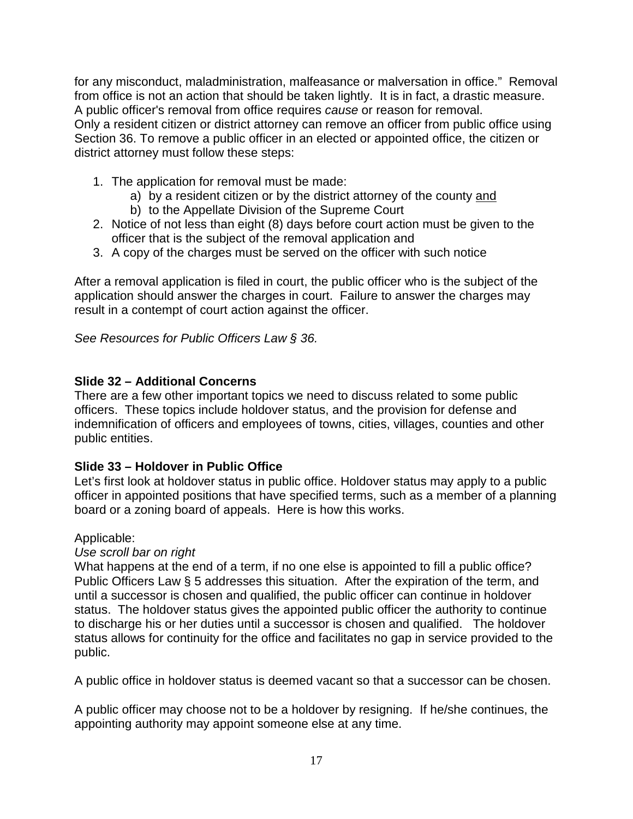for any misconduct, maladministration, malfeasance or malversation in office." Removal from office is not an action that should be taken lightly. It is in fact, a drastic measure. A public officer's removal from office requires *cause* or reason for removal. Only a resident citizen or district attorney can remove an officer from public office using Section 36. To remove a public officer in an elected or appointed office, the citizen or district attorney must follow these steps:

- 1. The application for removal must be made:
	- a) by a resident citizen or by the district attorney of the county and
	- b) to the Appellate Division of the Supreme Court
- 2. Notice of not less than eight (8) days before court action must be given to the officer that is the subject of the removal application and
- 3. A copy of the charges must be served on the officer with such notice

After a removal application is filed in court, the public officer who is the subject of the application should answer the charges in court. Failure to answer the charges may result in a contempt of court action against the officer.

*See Resources for Public Officers Law § 36.*

# **Slide 32 – Additional Concerns**

There are a few other important topics we need to discuss related to some public officers. These topics include holdover status, and the provision for defense and indemnification of officers and employees of towns, cities, villages, counties and other public entities.

# **Slide 33 – Holdover in Public Office**

Let's first look at holdover status in public office. Holdover status may apply to a public officer in appointed positions that have specified terms, such as a member of a planning board or a zoning board of appeals. Here is how this works.

# Applicable:

# *Use scroll bar on right*

What happens at the end of a term, if no one else is appointed to fill a public office? Public Officers Law § 5 addresses this situation. After the expiration of the term, and until a successor is chosen and qualified, the public officer can continue in holdover status. The holdover status gives the appointed public officer the authority to continue to discharge his or her duties until a successor is chosen and qualified. The holdover status allows for continuity for the office and facilitates no gap in service provided to the public.

A public office in holdover status is deemed vacant so that a successor can be chosen.

A public officer may choose not to be a holdover by resigning. If he/she continues, the appointing authority may appoint someone else at any time.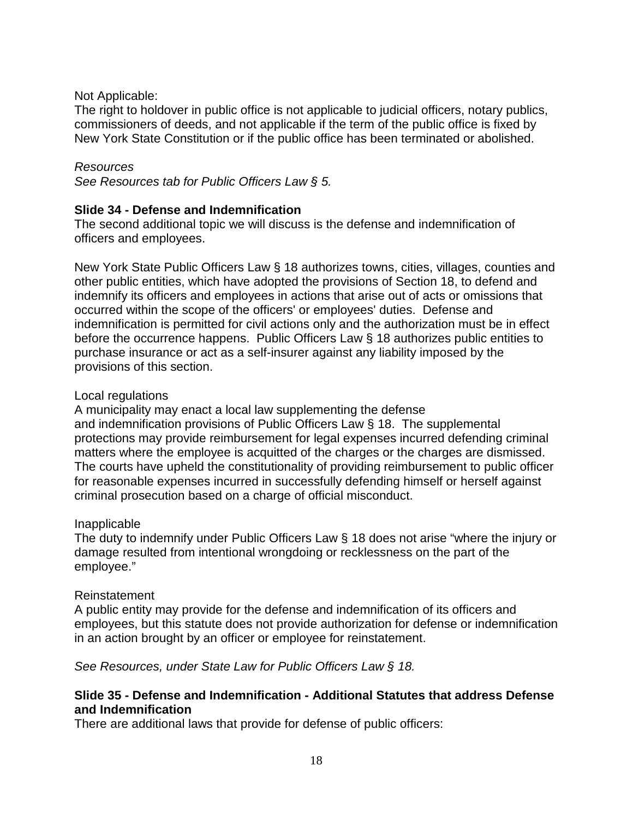### Not Applicable:

The right to holdover in public office is not applicable to judicial officers, notary publics, commissioners of deeds, and not applicable if the term of the public office is fixed by New York State Constitution or if the public office has been terminated or abolished.

### *Resources*

*See Resources tab for Public Officers Law § 5.* 

### **Slide 34 - Defense and Indemnification**

The second additional topic we will discuss is the defense and indemnification of officers and employees.

New York State Public Officers Law § 18 authorizes towns, cities, villages, counties and other public entities, which have adopted the provisions of Section 18, to defend and indemnify its officers and employees in actions that arise out of acts or omissions that occurred within the scope of the officers' or employees' duties. Defense and indemnification is permitted for civil actions only and the authorization must be in effect before the occurrence happens. Public Officers Law § 18 authorizes public entities to purchase insurance or act as a self-insurer against any liability imposed by the provisions of this section.

### Local regulations

A municipality may enact a local law supplementing the defense and indemnification provisions of Public Officers Law § 18. The supplemental protections may provide reimbursement for legal expenses incurred defending criminal matters where the employee is acquitted of the charges or the charges are dismissed. The courts have upheld the constitutionality of providing reimbursement to public officer for reasonable expenses incurred in successfully defending himself or herself against criminal prosecution based on a charge of official misconduct.

### Inapplicable

The duty to indemnify under Public Officers Law § 18 does not arise "where the injury or damage resulted from intentional wrongdoing or recklessness on the part of the employee."

### Reinstatement

A public entity may provide for the defense and indemnification of its officers and employees, but this statute does not provide authorization for defense or indemnification in an action brought by an officer or employee for reinstatement.

*See Resources, under State Law for Public Officers Law § 18.* 

### **Slide 35 - Defense and Indemnification - Additional Statutes that address Defense and Indemnification**

There are additional laws that provide for defense of public officers: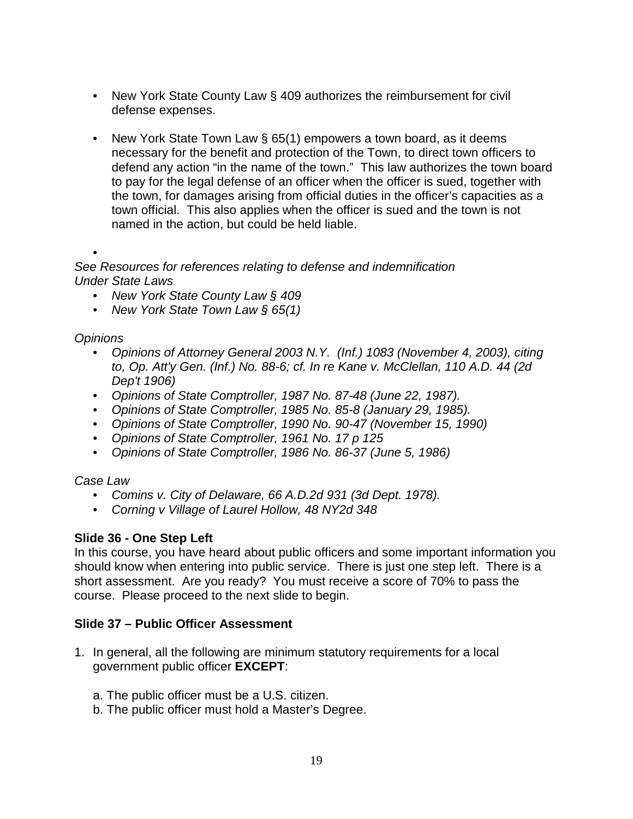- New York State County Law § 409 authorizes the reimbursement for civil defense expenses.
- New York State Town Law § 65(1) empowers a town board, as it deems necessary for the benefit and protection of the Town, to direct town officers to defend any action "in the name of the town." This law authorizes the town board to pay for the legal defense of an officer when the officer is sued, together with the town, for damages arising from official duties in the officer's capacities as a town official. This also applies when the officer is sued and the town is not named in the action, but could be held liable.

•

*See Resources for references relating to defense and indemnification Under State Laws* 

- *New York State County Law § 409*
- *New York State Town Law § 65(1)*

*Opinions*

- *Opinions of Attorney General 2003 N.Y. (Inf.) 1083 (November 4, 2003), citing to, Op. Att'y Gen. (Inf.) No. 88-6; cf. In re Kane v. McClellan, 110 A.D. 44 (2d Dep't 1906)*
- *Opinions of State Comptroller, 1987 No. 87-48 (June 22, 1987).*
- *Opinions of State Comptroller, 1985 No. 85-8 (January 29, 1985).*
- *Opinions of State Comptroller, 1990 No. 90-47 (November 15, 1990)*
- *Opinions of State Comptroller, 1961 No. 17 p 125*
- *Opinions of State Comptroller, 1986 No. 86-37 (June 5, 1986)*

*Case Law*

- *Comins v. City of Delaware, 66 A.D.2d 931 (3d Dept. 1978).*
- *Corning v Village of Laurel Hollow, 48 NY2d 348*

# **Slide 36 - One Step Left**

In this course, you have heard about public officers and some important information you should know when entering into public service. There is just one step left. There is a short assessment. Are you ready? You must receive a score of 70% to pass the course. Please proceed to the next slide to begin.

# **Slide 37 – Public Officer Assessment**

- 1. In general, all the following are minimum statutory requirements for a local government public officer **EXCEPT**:
	- a. The public officer must be a U.S. citizen.
	- b. The public officer must hold a Master's Degree.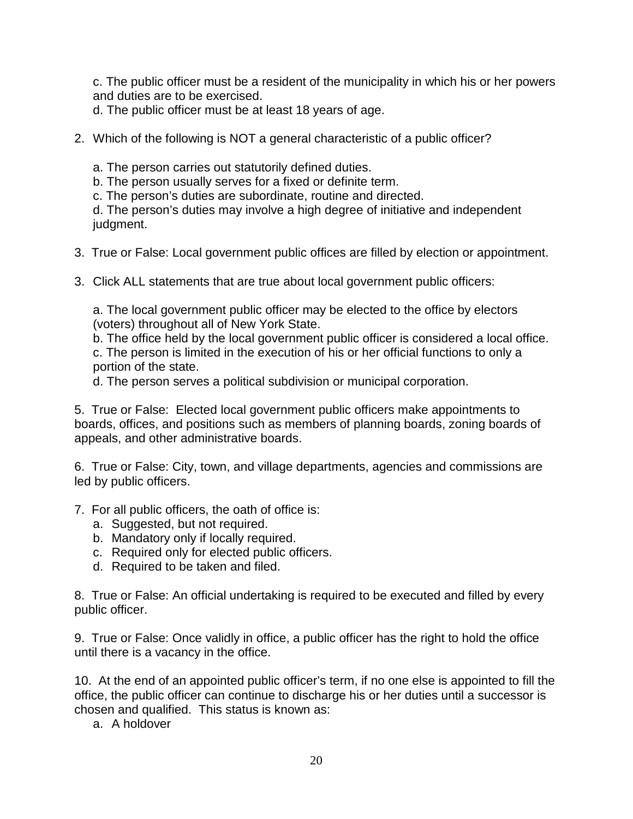c. The public officer must be a resident of the municipality in which his or her powers and duties are to be exercised.

d. The public officer must be at least 18 years of age.

2. Which of the following is NOT a general characteristic of a public officer?

a. The person carries out statutorily defined duties.

b. The person usually serves for a fixed or definite term.

c. The person's duties are subordinate, routine and directed.

d. The person's duties may involve a high degree of initiative and independent judgment.

- 3. True or False: Local government public offices are filled by election or appointment.
- 3. Click ALL statements that are true about local government public officers:

a. The local government public officer may be elected to the office by electors (voters) throughout all of New York State.

b. The office held by the local government public officer is considered a local office. c. The person is limited in the execution of his or her official functions to only a portion of the state.

d. The person serves a political subdivision or municipal corporation.

5. True or False: Elected local government public officers make appointments to boards, offices, and positions such as members of planning boards, zoning boards of appeals, and other administrative boards.

6. True or False: City, town, and village departments, agencies and commissions are led by public officers.

- 7. For all public officers, the oath of office is:
	- a. Suggested, but not required.
	- b. Mandatory only if locally required.
	- c. Required only for elected public officers.
	- d. Required to be taken and filed.

8. True or False: An official undertaking is required to be executed and filled by every public officer.

9. True or False: Once validly in office, a public officer has the right to hold the office until there is a vacancy in the office.

10. At the end of an appointed public officer's term, if no one else is appointed to fill the office, the public officer can continue to discharge his or her duties until a successor is chosen and qualified. This status is known as:

a. A holdover